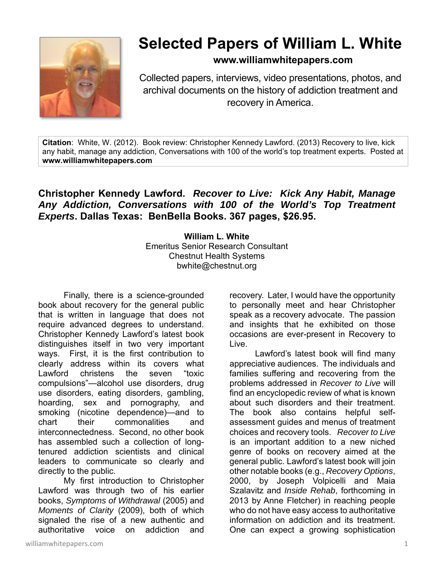

## **Selected Papers of William L. White**

**www.williamwhitepapers.com**

Collected papers, interviews, video presentations, photos, and archival documents on the history of addiction treatment and recovery in America.

**Citation**: White, W. (2012). Book review: Christopher Kennedy Lawford. (2013) Recovery to live, kick any habit, manage any addiction, Conversations with 100 of the world's top treatment experts. Posted at **www.williamwhitepapers.com**

## **Christopher Kennedy Lawford.** *Recover to Live: Kick Any Habit, Manage Any Addiction, Conversations with 100 of the World's Top Treatment Experts***. Dallas Texas: BenBella Books. 367 pages, \$26.95.**

**William L. White**  Emeritus Senior Research Consultant Chestnut Health Systems bwhite@chestnut.org

Finally, there is a science-grounded book about recovery for the general public that is written in language that does not require advanced degrees to understand. Christopher Kennedy Lawford's latest book distinguishes itself in two very important ways. First, it is the first contribution to clearly address within its covers what Lawford christens the seven "toxic compulsions"—alcohol use disorders, drug use disorders, eating disorders, gambling, hoarding, sex and pornography, and smoking (nicotine dependence)—and to chart their commonalities and interconnectedness. Second, no other book has assembled such a collection of longtenured addiction scientists and clinical leaders to communicate so clearly and directly to the public.

 My first introduction to Christopher Lawford was through two of his earlier books, *Symptoms of Withdrawal* (2005) and *Moments of Clarity* (2009), both of which signaled the rise of a new authentic and authoritative voice on addiction and

williamwhitepapers.com and the set of the set of the set of the set of the set of the set of the set of the set of the set of the set of the set of the set of the set of the set of the set of the set of the set of the set

recovery. Later, I would have the opportunity to personally meet and hear Christopher speak as a recovery advocate. The passion and insights that he exhibited on those occasions are ever-present in Recovery to Live.

 Lawford's latest book will find many appreciative audiences. The individuals and families suffering and recovering from the problems addressed in *Recover to Live* will find an encyclopedic review of what is known about such disorders and their treatment. The book also contains helpful selfassessment guides and menus of treatment choices and recovery tools. *Recover to Live* is an important addition to a new niched genre of books on recovery aimed at the general public. Lawford's latest book will join other notable books (e.g., *Recovery Options*, 2000, by Joseph Volpicelli and Maia Szalavitz and *Inside Rehab*, forthcoming in 2013 by Anne Fletcher) in reaching people who do not have easy access to authoritative information on addiction and its treatment. One can expect a growing sophistication